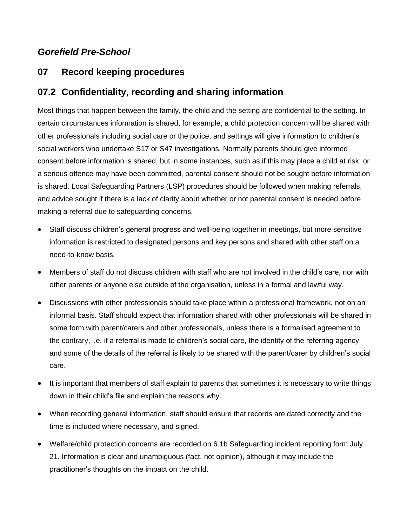# *Gorefield Pre-School*

# **07 Record keeping procedures**

# **07.2 Confidentiality, recording and sharing information**

Most things that happen between the family, the child and the setting are confidential to the setting. In certain circumstances information is shared, for example, a child protection concern will be shared with other professionals including social care or the police, and settings will give information to children's social workers who undertake S17 or S47 investigations. Normally parents should give informed consent before information is shared, but in some instances, such as if this may place a child at risk, or a serious offence may have been committed, parental consent should not be sought before information is shared. Local Safeguarding Partners (LSP) procedures should be followed when making referrals, and advice sought if there is a lack of clarity about whether or not parental consent is needed before making a referral due to safeguarding concerns.

- Staff discuss children's general progress and well-being together in meetings, but more sensitive information is restricted to designated persons and key persons and shared with other staff on a need-to-know basis.
- Members of staff do not discuss children with staff who are not involved in the child's care, nor with other parents or anyone else outside of the organisation, unless in a formal and lawful way.
- Discussions with other professionals should take place within a professional framework, not on an informal basis. Staff should expect that information shared with other professionals will be shared in some form with parent/carers and other professionals, unless there is a formalised agreement to the contrary, i.e. if a referral is made to children's social care, the identity of the referring agency and some of the details of the referral is likely to be shared with the parent/carer by children's social care.
- It is important that members of staff explain to parents that sometimes it is necessary to write things down in their child's file and explain the reasons why.
- When recording general information, staff should ensure that records are dated correctly and the time is included where necessary, and signed.
- Welfare/child protection concerns are recorded on 6.1b Safeguarding incident reporting form July 21. Information is clear and unambiguous (fact, not opinion), although it may include the practitioner's thoughts on the impact on the child.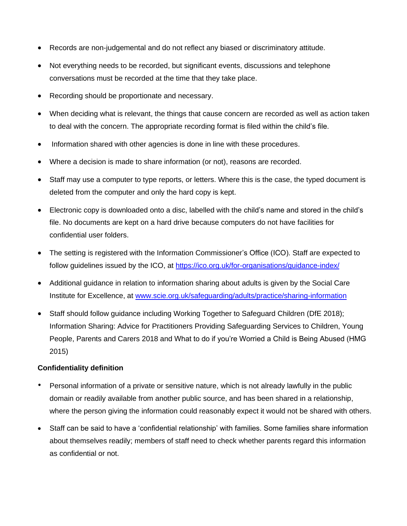- Records are non-judgemental and do not reflect any biased or discriminatory attitude.
- Not everything needs to be recorded, but significant events, discussions and telephone conversations must be recorded at the time that they take place.
- Recording should be proportionate and necessary.
- When deciding what is relevant, the things that cause concern are recorded as well as action taken to deal with the concern. The appropriate recording format is filed within the child's file.
- Information shared with other agencies is done in line with these procedures.
- Where a decision is made to share information (or not), reasons are recorded.
- Staff may use a computer to type reports, or letters. Where this is the case, the typed document is deleted from the computer and only the hard copy is kept.
- Electronic copy is downloaded onto a disc, labelled with the child's name and stored in the child's file. No documents are kept on a hard drive because computers do not have facilities for confidential user folders.
- The setting is registered with the Information Commissioner's Office (ICO). Staff are expected to follow guidelines issued by the ICO, at <https://ico.org.uk/for-organisations/guidance-index/>
- Additional guidance in relation to information sharing about adults is given by the Social Care Institute for Excellence, at [www.scie.org.uk/safeguarding/adults/practice/sharing-information](http://www.scie.org.uk/safeguarding/adults/practice/sharing-information)
- Staff should follow guidance including Working Together to Safeguard Children (DfE 2018); Information Sharing: Advice for Practitioners Providing Safeguarding Services to Children, Young People, Parents and Carers 2018 and What to do if you're Worried a Child is Being Abused (HMG 2015)

### **Confidentiality definition**

- Personal information of a private or sensitive nature, which is not already lawfully in the public domain or readily available from another public source, and has been shared in a relationship, where the person giving the information could reasonably expect it would not be shared with others.
- Staff can be said to have a 'confidential relationship' with families. Some families share information about themselves readily; members of staff need to check whether parents regard this information as confidential or not.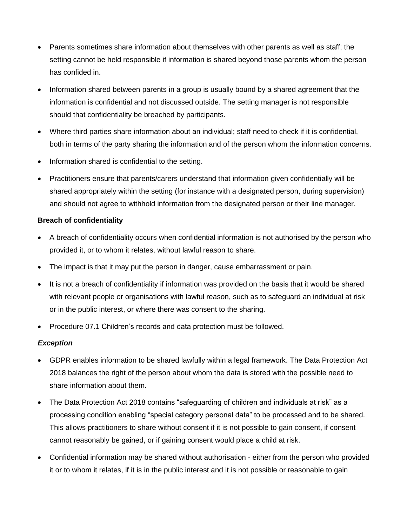- Parents sometimes share information about themselves with other parents as well as staff; the setting cannot be held responsible if information is shared beyond those parents whom the person has confided in.
- Information shared between parents in a group is usually bound by a shared agreement that the information is confidential and not discussed outside. The setting manager is not responsible should that confidentiality be breached by participants.
- Where third parties share information about an individual; staff need to check if it is confidential, both in terms of the party sharing the information and of the person whom the information concerns.
- Information shared is confidential to the setting.
- Practitioners ensure that parents/carers understand that information given confidentially will be shared appropriately within the setting (for instance with a designated person, during supervision) and should not agree to withhold information from the designated person or their line manager.

### **Breach of confidentiality**

- A breach of confidentiality occurs when confidential information is not authorised by the person who provided it, or to whom it relates, without lawful reason to share.
- The impact is that it may put the person in danger, cause embarrassment or pain.
- It is not a breach of confidentiality if information was provided on the basis that it would be shared with relevant people or organisations with lawful reason, such as to safeguard an individual at risk or in the public interest, or where there was consent to the sharing.
- Procedure 07.1 Children's records and data protection must be followed.

### *Exception*

- GDPR enables information to be shared lawfully within a legal framework. The Data Protection Act 2018 balances the right of the person about whom the data is stored with the possible need to share information about them.
- The Data Protection Act 2018 contains "safeguarding of children and individuals at risk" as a processing condition enabling "special category personal data" to be processed and to be shared. This allows practitioners to share without consent if it is not possible to gain consent, if consent cannot reasonably be gained, or if gaining consent would place a child at risk.
- Confidential information may be shared without authorisation either from the person who provided it or to whom it relates, if it is in the public interest and it is not possible or reasonable to gain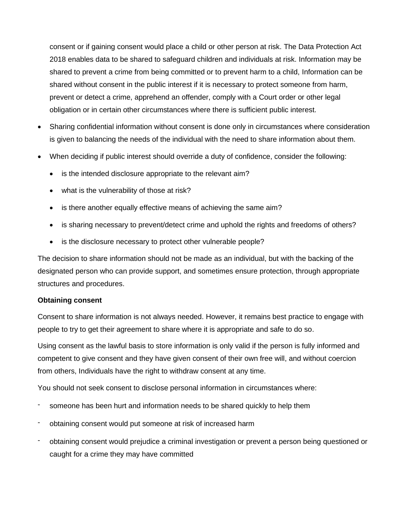consent or if gaining consent would place a child or other person at risk. The Data Protection Act 2018 enables data to be shared to safeguard children and individuals at risk. Information may be shared to prevent a crime from being committed or to prevent harm to a child, Information can be shared without consent in the public interest if it is necessary to protect someone from harm, prevent or detect a crime, apprehend an offender, comply with a Court order or other legal obligation or in certain other circumstances where there is sufficient public interest.

- Sharing confidential information without consent is done only in circumstances where consideration is given to balancing the needs of the individual with the need to share information about them.
- When deciding if public interest should override a duty of confidence, consider the following:
	- is the intended disclosure appropriate to the relevant aim?
	- what is the vulnerability of those at risk?
	- is there another equally effective means of achieving the same aim?
	- is sharing necessary to prevent/detect crime and uphold the rights and freedoms of others?
	- is the disclosure necessary to protect other vulnerable people?

The decision to share information should not be made as an individual, but with the backing of the designated person who can provide support, and sometimes ensure protection, through appropriate structures and procedures.

### **Obtaining consent**

Consent to share information is not always needed. However, it remains best practice to engage with people to try to get their agreement to share where it is appropriate and safe to do so.

Using consent as the lawful basis to store information is only valid if the person is fully informed and competent to give consent and they have given consent of their own free will, and without coercion from others, Individuals have the right to withdraw consent at any time.

You should not seek consent to disclose personal information in circumstances where:

- someone has been hurt and information needs to be shared quickly to help them
- obtaining consent would put someone at risk of increased harm
- obtaining consent would prejudice a criminal investigation or prevent a person being questioned or caught for a crime they may have committed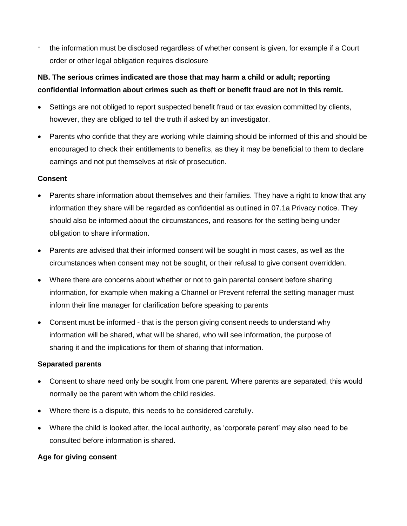- the information must be disclosed regardless of whether consent is given, for example if a Court order or other legal obligation requires disclosure

# **NB. The serious crimes indicated are those that may harm a child or adult; reporting confidential information about crimes such as theft or benefit fraud are not in this remit.**

- Settings are not obliged to report suspected benefit fraud or tax evasion committed by clients, however, they are obliged to tell the truth if asked by an investigator.
- Parents who confide that they are working while claiming should be informed of this and should be encouraged to check their entitlements to benefits, as they it may be beneficial to them to declare earnings and not put themselves at risk of prosecution.

### **Consent**

- Parents share information about themselves and their families. They have a right to know that any information they share will be regarded as confidential as outlined in 07.1a Privacy notice. They should also be informed about the circumstances, and reasons for the setting being under obligation to share information.
- Parents are advised that their informed consent will be sought in most cases, as well as the circumstances when consent may not be sought, or their refusal to give consent overridden.
- Where there are concerns about whether or not to gain parental consent before sharing information, for example when making a Channel or Prevent referral the setting manager must inform their line manager for clarification before speaking to parents
- Consent must be informed that is the person giving consent needs to understand why information will be shared, what will be shared, who will see information, the purpose of sharing it and the implications for them of sharing that information.

## **Separated parents**

- Consent to share need only be sought from one parent. Where parents are separated, this would normally be the parent with whom the child resides.
- Where there is a dispute, this needs to be considered carefully.
- Where the child is looked after, the local authority, as 'corporate parent' may also need to be consulted before information is shared.

## **Age for giving consent**